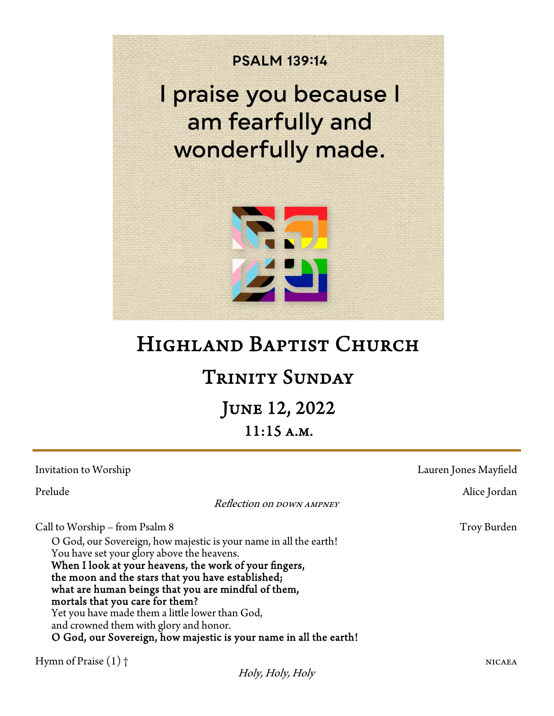

# HIGHLAND BAPTIST CHURCH

## Trinity Sunday

 June 12, 2022 11:15 a.m.

| Invitation to Worship                                                                                                                                                                                                                                                                                                                                                                                                                                                                                                        | Lauren Jones Mayfield |
|------------------------------------------------------------------------------------------------------------------------------------------------------------------------------------------------------------------------------------------------------------------------------------------------------------------------------------------------------------------------------------------------------------------------------------------------------------------------------------------------------------------------------|-----------------------|
| Prelude<br>Reflection on DOWN AMPNEY                                                                                                                                                                                                                                                                                                                                                                                                                                                                                         | Alice Jordan          |
| Call to Worship – from Psalm 8<br>O God, our Sovereign, how majestic is your name in all the earth!<br>You have set your glory above the heavens.<br>When I look at your heavens, the work of your fingers,<br>the moon and the stars that you have established;<br>what are human beings that you are mindful of them,<br>mortals that you care for them?<br>Yet you have made them a little lower than God,<br>and crowned them with glory and honor.<br>O God, our Sovereign, how majestic is your name in all the earth! | Troy Burden           |
| Hymn of Praise $(1)$ †                                                                                                                                                                                                                                                                                                                                                                                                                                                                                                       | <b>NICAEA</b>         |

Holy, Holy, Holy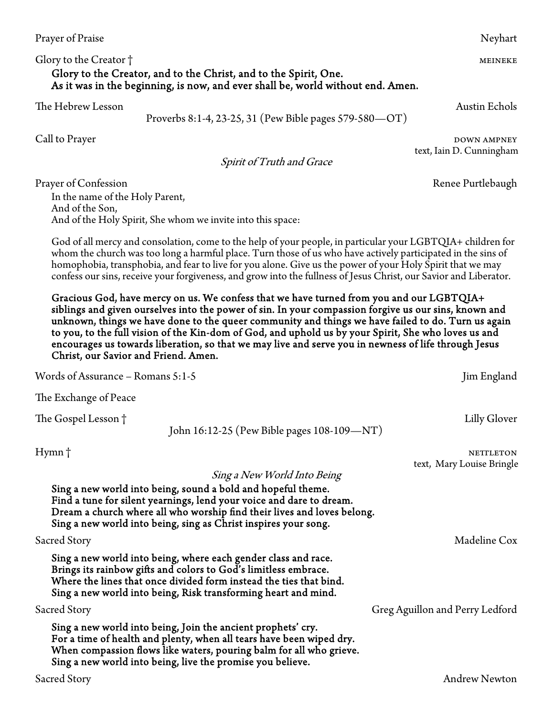#### Glory to the Creator † metals and the control of the Creator  $\uparrow$  meineke Glory to the Creator, and to the Christ, and to the Spirit, One. As it was in the beginning, is now, and ever shall be, world without end. Amen.

The Hebrew Lesson Austin Echols

Proverbs 8:1-4, 23-25, 31 (Pew Bible pages 579-580—OT)

Spirit of Truth and Grace

Prayer of Confession Renee Purtlebaugh

In the name of the Holy Parent, And of the Son, And of the Holy Spirit, She whom we invite into this space:

God of all mercy and consolation, come to the help of your people, in particular your LGBTQIA+ children for whom the church was too long a harmful place. Turn those of us who have actively participated in the sins of homophobia, transphobia, and fear to live for you alone. Give us the power of your Holy Spirit that we may confess our sins, receive your forgiveness, and grow into the fullness of Jesus Christ, our Savior and Liberator.

Gracious God, have mercy on us. We confess that we have turned from you and our LGBTQIA+ siblings and given ourselves into the power of sin. In your compassion forgive us our sins, known and unknown, things we have done to the queer community and things we have failed to do. Turn us again to you, to the full vision of the Kin-dom of God, and uphold us by your Spirit, She who loves us and encourages us towards liberation, so that we may live and serve you in newness of life through Jesus Christ, our Savior and Friend. Amen.

| $\alpha$ of $\alpha$ or $\alpha$ is a contracted to $\alpha$ . The set of $\alpha$                                                                                                                                                                                                                                | Juli Liigianu                   |
|-------------------------------------------------------------------------------------------------------------------------------------------------------------------------------------------------------------------------------------------------------------------------------------------------------------------|---------------------------------|
| The Exchange of Peace                                                                                                                                                                                                                                                                                             |                                 |
| The Gospel Lesson †<br>John 16:12-25 (Pew Bible pages 108-109-NT)                                                                                                                                                                                                                                                 | Lilly Glover                    |
| Hymn†                                                                                                                                                                                                                                                                                                             | <b>NETTLETON</b>                |
| Sing a New World Into Being<br>Sing a new world into being, sound a bold and hopeful theme.<br>Find a tune for silent yearnings, lend your voice and dare to dream.<br>Dream a church where all who worship find their lives and loves belong.<br>Sing a new world into being, sing as Christ inspires your song. | text, Mary Louise Bringle       |
| Sacred Story                                                                                                                                                                                                                                                                                                      | Madeline Cox                    |
| Sing a new world into being, where each gender class and race.<br>Brings its rainbow gifts and colors to God's limitless embrace.<br>Where the lines that once divided form instead the ties that bind.<br>Sing a new world into being, Risk transforming heart and mind.                                         |                                 |
| Sacred Story                                                                                                                                                                                                                                                                                                      | Greg Aguillon and Perry Ledford |
| Sing a new world into being, Join the ancient prophets' cry.<br>For a time of health and plenty, when all tears have been wiped dry.<br>When compassion flows like waters, pouring balm for all who grieve.<br>Sing a new world into being, live the promise you believe.                                         |                                 |
| Sacred Story                                                                                                                                                                                                                                                                                                      | <b>Andrew Newton</b>            |

Call to Prayer DOWN AMPNEY text, Iain D. Cunningham

 $Words of Assume S: 1.5$   $\mu$  and  $\mu$  and  $\mu$  and  $\mu$  and  $\mu$  and  $\mu$  and  $\mu$  and  $\mu$  and  $\mu$  and  $\mu$  and  $\mu$  and  $\mu$  and  $\mu$  and  $\mu$  and  $\mu$  and  $\mu$  and  $\mu$  and  $\mu$  and  $\mu$  and  $\mu$  and  $\mu$  and  $\mu$  and  $\mu$  and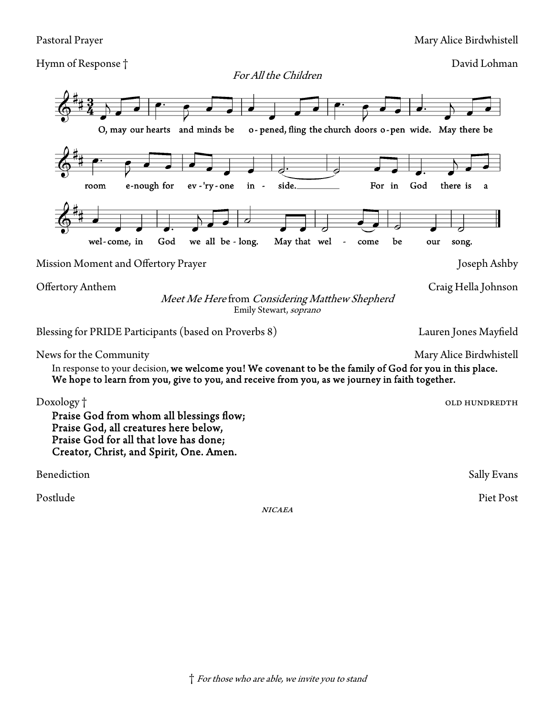Hymn of Response † David Lohman

For All the Children